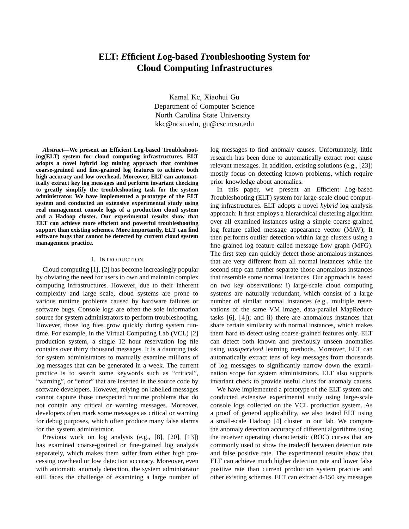# **ELT:** *E***fficient** *L***og-based** *T***roubleshooting System for Cloud Computing Infrastructures**

Kamal Kc, Xiaohui Gu Department of Computer Science North Carolina State University kkc@ncsu.edu, gu@csc.ncsu.edu

*Abstract***—We present an Efficient Log-based Troubleshooting(ELT) system for cloud computing infrastructures. ELT adopts a novel hybrid log mining approach that combines coarse-grained and fine-grained log features to achieve both high accuracy and low overhead. Moreover, ELT can automatically extract key log messages and perform invariant checking to greatly simplify the troubleshooting task for the system administrator. We have implemented a prototype of the ELT system and conducted an extensive experimental study using real management console logs of a production cloud system and a Hadoop cluster. Our experimental results show that ELT can achieve more efficient and powerful troubleshooting support than existing schemes. More importantly, ELT can find software bugs that cannot be detected by current cloud system management practice.**

#### I. INTRODUCTION

Cloud computing [1], [2] has become increasingly popular by obviating the need for users to own and maintain complex computing infrastructures. However, due to their inherent complexity and large scale, cloud systems are prone to various runtime problems caused by hardware failures or software bugs. Console logs are often the sole information source for system administrators to perform troubleshooting. However, those log files grow quickly during system runtime. For example, in the Virtual Computing Lab (VCL) [2] production system, a single 12 hour reservation log file contains over thirty thousand messages. It is a daunting task for system administrators to manually examine millions of log messages that can be generated in a week. The current practice is to search some keywords such as "critical", "warning", or "error" that are inserted in the source code by software developers. However, relying on labelled messages cannot capture those unexpected runtime problems that do not contain any critical or warning messages. Moreover, developers often mark some messages as critical or warning for debug purposes, which often produce many false alarms for the system administrator.

Previous work on log analysis (e.g., [8], [20], [13]) has examined coarse-grained or fine-grained log analysis separately, which makes them suffer from either high processing overhead or low detection accuracy. Moreover, even with automatic anomaly detection, the system administrator still faces the challenge of examining a large number of log messages to find anomaly causes. Unfortunately, little research has been done to automatically extract root cause relevant messages. In addition, existing solutions (e.g., [23]) mostly focus on detecting known problems, which require prior knowledge about anomalies.

In this paper, we present an *E*fficient *L*og-based *T*roubleshooting (ELT) system for large-scale cloud computing infrastructures. ELT adopts a novel *hybrid* log analysis approach: It first employs a hierarchical clustering algorithm over all examined instances using a simple coarse-grained log feature called message appearance vector (MAV); It then performs outlier detection within large clusters using a fine-grained log feature called message flow graph (MFG). The first step can quickly detect those anomalous instances that are very different from all normal instances while the second step can further separate those anomalous instances that resemble some normal instances. Our approach is based on two key observations: i) large-scale cloud computing systems are naturally redundant, which consist of a large number of similar normal instances (e.g., multiple reservations of the same VM image, data-parallel MapReduce tasks [6], [4]); and ii) there are anomalous instances that share certain similarity with normal instances, which makes them hard to detect using coarse-grained features only. ELT can detect both known and previously unseen anomalies using *unsupervised* learning methods. Moreover, ELT can automatically extract tens of key messages from thousands of log messages to significantly narrow down the examination scope for system administrators. ELT also supports invariant check to provide useful clues for anomaly causes.

We have implemented a prototype of the ELT system and conducted extensive experimental study using large-scale console logs collected on the VCL production system. As a proof of general applicability, we also tested ELT using a small-scale Hadoop [4] cluster in our lab. We compare the anomaly detection accuracy of different algorithms using the receiver operating characteristic (ROC) curves that are commonly used to show the tradeoff between detection rate and false positive rate. The experimental results show that ELT can achieve much higher detection rate and lower false positive rate than current production system practice and other existing schemes. ELT can extract 4-150 key messages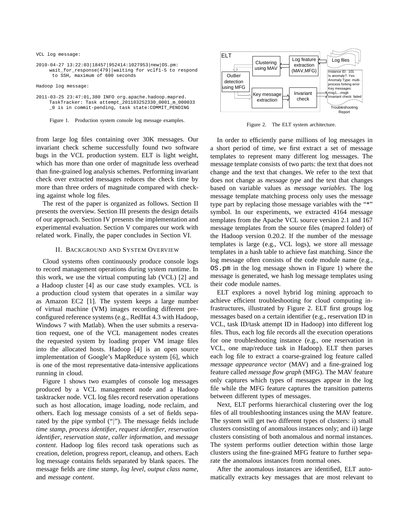VCL log message:

2010-04-27 13:22:03|18457|952414:1027953|new|OS.pm: wait\_for\_response(479)|waiting for vclf1-5 to respond to SSH, maximum of 600 seconds

```
Hadoop log message:
```
2011-03-25 23:47:01,380 INFO org.apache.hadoop.mapred. TaskTracker: Task attempt\_201103252330\_0001\_m\_000033 \_0 is in commit-pending, task state:COMMIT\_PENDING

Figure 1. Production system console log message examples.

from large log files containing over 30K messages. Our invariant check scheme successfully found two software bugs in the VCL production system. ELT is light weight, which has more than one order of magnitude less overhead than fine-grained log analysis schemes. Performing invariant check over extracted messages reduces the check time by more than three orders of magnitude compared with checking against whole log files.

The rest of the paper is organized as follows. Section II presents the overview. Section III presents the design details of our approach. Section IV presents the implementation and experimental evaluation. Section V compares our work with related work. Finally, the paper concludes in Section VI.

### II. BACKGROUND AND SYSTEM OVERVIEW

Cloud systems often continuously produce console logs to record management operations during system runtime. In this work, we use the virtual computing lab (VCL) [2] and a Hadoop cluster [4] as our case study examples. VCL is a production cloud system that operates in a similar way as Amazon EC2 [1]. The system keeps a large number of virtual machine (VM) images recording different preconfigured reference systems (e.g., RedHat 4.3 with Hadoop, Windows 7 with Matlab). When the user submits a reservation request, one of the VCL management nodes creates the requested system by loading proper VM image files into the allocated hosts. Hadoop [4] is an open source implementation of Google's MapReduce system [6], which is one of the most representative data-intensive applications running in cloud.

Figure 1 shows two examples of console log messages produced by a VCL management node and a Hadoop tasktracker node. VCL log files record reservation operations such as host allocation, image loading, node reclaim, and others. Each log message consists of a set of fields separated by the pipe symbol ("|"). The message fields include *time stamp*, *process identifier*, *request identifier*, *reservation identifier*, *reservation state*, *caller information*, and *message content*. Hadoop log files record task operations such as creation, deletion, progress report, cleanup, and others. Each log message contains fields separated by blank spaces. The message fields are *time stamp*, *log level*, *output class name*, and *message content*.



Figure 2. The ELT system architecture.

In order to efficiently parse millions of log messages in a short period of time, we first extract a set of message templates to represent many different log messages. The message template consists of two parts: the text that does not change and the text that changes. We refer to the text that does not change as *message type* and the text that changes based on variable values as *message variables*. The log message template matching process only uses the message type part by replacing those message variables with the "\*" symbol. In our experiments, we extracted 4164 message templates from the Apache VCL source version 2.1 and 167 message templates from the source files (mapred folder) of the Hadoop version 0.20.2. If the number of the message templates is large (e.g., VCL logs), we store all message templates in a hash table to achieve fast matching. Since the log message often consists of the code module name (e.g., OS.pm in the log message shown in Figure 1) where the message is generated, we hash log message templates using their code module names.

ELT explores a novel hybrid log mining approach to achieve efficient troubleshooting for cloud computing infrastructures, illustrated by Figure 2. ELT first groups log messages based on a certain identifier (e.g., reservation ID in VCL, task ID/task attempt ID in Hadoop) into different log files. Thus, each log file records all the execution operations for one troubleshooting instance (e.g., one reservation in VCL, one map/reduce task in Hadoop). ELT then parses each log file to extract a coarse-grained log feature called *message appearance vector* (MAV) and a fine-grained log feature called *message flow graph* (MFG). The MAV feature only captures which types of messages appear in the log file while the MFG feature captures the transition patterns between different types of messages.

Next, ELT performs hierarchical clustering over the log files of all troubleshooting instances using the MAV feature. The system will get two different types of clusters: i) small clusters consisting of anomalous instances only; and ii) large clusters consisting of both anomalous and normal instances. The system performs outlier detection within those large clusters using the fine-grained MFG feature to further separate the anomalous instances from normal ones.

After the anomalous instances are identified, ELT automatically extracts key messages that are most relevant to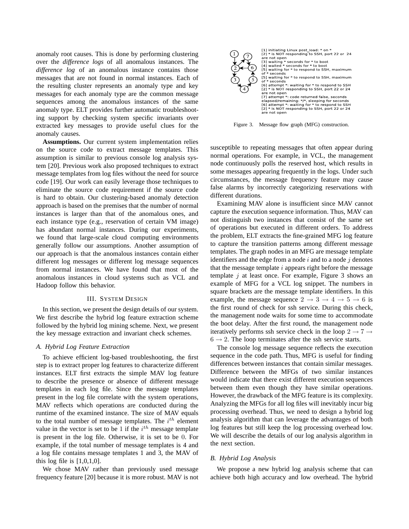anomaly root causes. This is done by performing clustering over the *difference logs* of all anomalous instances. The *difference log* of an anomalous instance contains those messages that are not found in normal instances. Each of the resulting cluster represents an anomaly type and key messages for each anomaly type are the common message sequences among the anomalous instances of the same anomaly type. ELT provides further automatic troubleshooting support by checking system specific invariants over extracted key messages to provide useful clues for the anomaly causes.

**Assumptions.** Our current system implementation relies on the source code to extract message templates. This assumption is similar to previous console log analysis system [20]. Previous work also proposed techniques to extract message templates from log files without the need for source code [19]. Our work can easily leverage those techniques to eliminate the source code requirement if the source code is hard to obtain. Our clustering-based anomaly detection approach is based on the premises that the number of normal instances is larger than that of the anomalous ones, and each instance type (e.g., reservation of certain VM image) has abundant normal instances. During our experiments, we found that large-scale cloud computing environments generally follow our assumptions. Another assumption of our approach is that the anomalous instances contain either different log messages or different log message sequences from normal instances. We have found that most of the anomalous instances in cloud systems such as VCL and Hadoop follow this behavior.

## III. SYSTEM DESIGN

In this section, we present the design details of our system. We first describe the hybrid log feature extraction scheme followed by the hybrid log mining scheme. Next, we present the key message extraction and invariant check schemes.

#### *A. Hybrid Log Feature Extraction*

To achieve efficient log-based troubleshooting, the first step is to extract proper log features to characterize different instances. ELT first extracts the simple MAV log feature to describe the presence or absence of different message templates in each log file. Since the message templates present in the log file correlate with the system operations, MAV reflects which operations are conducted during the runtime of the examined instance. The size of MAV equals to the total number of message templates. The  $i^{th}$  element value in the vector is set to be 1 if the  $i<sup>th</sup>$  message template is present in the log file. Otherwise, it is set to be 0. For example, if the total number of message templates is 4 and a log file contains message templates 1 and 3, the MAV of this log file is  $[1,0,1,0]$ .

We chose MAV rather than previously used message frequency feature [20] because it is more robust. MAV is not



Figure 3. Message flow graph (MFG) construction.

susceptible to repeating messages that often appear during normal operations. For example, in VCL, the management node continuously polls the reserved host, which results in some messages appearing frequently in the logs. Under such circumstances, the message frequency feature may cause false alarms by incorrectly categorizing reservations with different durations.

Examining MAV alone is insufficient since MAV cannot capture the execution sequence information. Thus, MAV can not distinguish two instances that consist of the same set of operations but executed in different orders. To address the problem, ELT extracts the fine-grained MFG log feature to capture the transition patterns among different message templates. The graph nodes in an MFG are message template identifiers and the edge from a node  $i$  and to a node  $j$  denotes that the message template  $i$  appears right before the message template  $j$  at least once. For example, Figure 3 shows an example of MFG for a VCL log snippet. The numbers in square brackets are the message template identifiers. In this example, the message sequence  $2 \rightarrow 3 \rightarrow 4 \rightarrow 5 \rightarrow 6$  is the first round of check for ssh service. During this check, the management node waits for some time to accommodate the boot delay. After the first round, the management node iteratively performs ssh service check in the loop  $2 \rightarrow 7 \rightarrow$  $6 \rightarrow 2$ . The loop terminates after the ssh service starts.

The console log message sequence reflects the execution sequence in the code path. Thus, MFG is useful for finding differences between instances that contain similar messages. Difference between the MFGs of two similar instances would indicate that there exist different execution sequences between them even though they have similar operations. However, the drawback of the MFG feature is its complexity. Analyzing the MFGs for all log files will inevitably incur big processing overhead. Thus, we need to design a hybrid log analysis algorithm that can leverage the advantages of both log features but still keep the log processing overhead low. We will describe the details of our log analysis algorithm in the next section.

# *B. Hybrid Log Analysis*

We propose a new hybrid log analysis scheme that can achieve both high accuracy and low overhead. The hybrid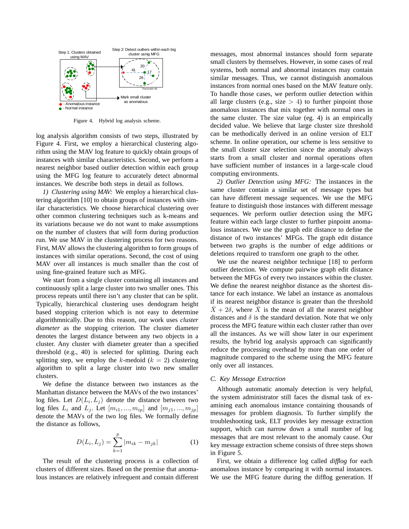

Figure 4. Hybrid log analysis scheme.

log analysis algorithm consists of two steps, illustrated by Figure 4. First, we employ a hierarchical clustering algorithm using the MAV log feature to quickly obtain groups of instances with similar characteristics. Second, we perform a nearest neighbor based outlier detection within each group using the MFG log feature to accurately detect abnormal instances. We describe both steps in detail as follows.

*1) Clustering using MAV:* We employ a hierarchical clustering algorithm [10] to obtain groups of instances with similar characteristics. We choose hierarchical clustering over other common clustering techniques such as k-means and its variations because we do not want to make assumptions on the number of clusters that will form during production run. We use MAV in the clustering process for two reasons. First, MAV allows the clustering algorithm to form groups of instances with similar operations. Second, the cost of using MAV over all instances is much smaller than the cost of using fine-grained feature such as MFG.

We start from a single cluster containing all instances and continuously split a large cluster into two smaller ones. This process repeats until there isn't any cluster that can be split. Typically, hierarchical clustering uses dendogram height based stopping criterion which is not easy to determine algorithmnically. Due to this reason, our work uses *cluster diameter* as the stopping criterion. The cluster diameter denotes the largest distance between any two objects in a cluster. Any cluster with diameter greater than a specified threshold (e.g., 40) is selected for splitting. During each splitting step, we employ the k-medoid  $(k = 2)$  clustering algorithm to split a large cluster into two new smaller clusters.

We define the distance between two instances as the Manhattan distance between the MAVs of the two instances' log files. Let  $D(L_i, L_j)$  denote the distance between two log files  $L_i$  and  $L_j$ . Let  $[m_{i1}, ..., m_{ip}]$  and  $[m_{i1}, ..., m_{ip}]$ denote the MAVs of the two log files. We formally define the distance as follows,

$$
D(L_i, L_j) = \sum_{k=1}^{p} |m_{ik} - m_{jk}|
$$
 (1)

The result of the clustering process is a collection of clusters of different sizes. Based on the premise that anomalous instances are relatively infrequent and contain different messages, most abnormal instances should form separate small clusters by themselves. However, in some cases of real systems, both normal and abnormal instances may contain similar messages. Thus, we cannot distinguish anomalous instances from normal ones based on the MAV feature only. To handle those cases, we perform outlier detection within all large clusters (e.g., size  $> 4$ ) to further pinpoint those anomalous instances that mix together with normal ones in the same cluster. The size value (eg. 4) is an empirically decided value. We believe that large cluster size threshold can be methodically derived in an online version of ELT scheme. In online operation, our scheme is less sensitive to the small cluster size selection since the anomaly always starts from a small cluster and normal operations often have sufficient number of instances in a large-scale cloud computing environments.

*2) Outlier Detection using MFG:* The instances in the same cluster contain a similar set of message types but can have different message sequences. We use the MFG feature to distinguish those instances with different message sequences. We perform outlier detection using the MFG feature within each large cluster to further pinpoint anomalous instances. We use the graph edit distance to define the distance of two instances' MFGs. The graph edit distance between two graphs is the number of edge additions or deletions required to transform one graph to the other.

We use the nearest neighbor technique [18] to perform outlier detection. We compute pairwise graph edit distance between the MFGs of every two instances within the cluster. We define the nearest neighbor distance as the shortest distance for each instance. We label an instance as anomalous if its nearest neighbor distance is greater than the threshold  $X + 2\delta$ , where X is the mean of all the nearest neighbor distances and  $\delta$  is the standard deviation. Note that we only process the MFG feature within each cluster rather than over all the instances. As we will show later in our experiment results, the hybrid log analysis approach can significantly reduce the processing overhead by more than one order of magnitude compared to the scheme using the MFG feature only over all instances.

#### *C. Key Message Extraction*

Although automatic anomaly detection is very helpful, the system administrator still faces the dismal task of examining each anomalous instance containing thousands of messages for problem diagnosis. To further simplify the troubleshooting task, ELT provides key message extraction support, which can narrow down a small number of log messages that are most relevant to the anomaly cause. Our key message extraction scheme consists of three steps shown in Figure 5.

First, we obtain a difference log called *difflog* for each anomalous instance by comparing it with normal instances. We use the MFG feature during the difflog generation. If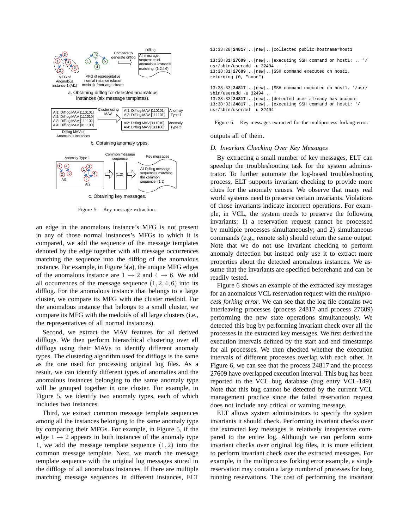

c. Obtaining key messages.

Figure 5. Key message extraction.

an edge in the anomalous instance's MFG is not present in any of those normal instances's MFGs to which it is compared, we add the sequence of the message templates denoted by the edge together with all message occurrences matching the sequence into the difflog of the anomalous instance. For example, in Figure 5(a), the unique MFG edges of the anomalous instance are  $1 \rightarrow 2$  and  $4 \rightarrow 6$ . We add all occurrences of the message sequence  $(1, 2, 4, 6)$  into its difflog. For the anomalous instance that belongs to a large cluster, we compare its MFG with the cluster medoid. For the anomalous instance that belongs to a small cluster, we compare its MFG with the medoids of all large clusters (i.e., the representatives of all normal instances).

Second, we extract the MAV features for all derived difflogs. We then perform hierarchical clustering over all difflogs using their MAVs to identify different anomaly types. The clustering algorithm used for difflogs is the same as the one used for processing original log files. As a result, we can identify different types of anomalies and the anomalous instances belonging to the same anomaly type will be grouped together in one cluster. For example, in Figure 5, we identify two anomaly types, each of which includes two instances.

Third, we extract common message template sequences among all the instances belonging to the same anomaly type by comparing their MFGs. For example, in Figure 5, if the edge  $1 \rightarrow 2$  appears in both instances of the anomaly type 1, we add the message template sequence  $(1, 2)$  into the common message template. Next, we match the message template sequence with the original log messages stored in the difflogs of all anomalous instances. If there are multiple matching message sequences in different instances, ELT 13:38:28|**24817**|..|new|..|collected public hostname=host1

13:38:31|**27609**|..|new|..|executing SSH command on host1: .. '/ usr/sbin/useradd -u 32494 .. 13:38:31|**27609**|..|new|..|SSH command executed on host1, returning (0, "none") 13:38:33|**24817**|..|new|..|SSH command executed on host1, '/usr/

sbin/useradd -u 32494 .. 13:38:33|**24817**|..|new|..|detected user already has account 13:38:33|**24817**|..|new|..|executing SSH command on host1: '/ usr/sbin/userdel -u 32494'

#### Figure 6. Key messages extracted for the multiprocess forking error.

outputs all of them.

#### *D. Invariant Checking Over Key Messages*

By extracting a small number of key messages, ELT can speedup the troubleshooting task for the system administrator. To further automate the log-based troubleshooting process, ELT supports invariant checking to provide more clues for the anomaly causes. We observe that many real world systems need to preserve certain invariants. Violations of those invariants indicate incorrect operations. For example, in VCL, the system needs to preserve the following invariants: 1) a reservation request cannot be processed by multiple processes simultaneously; and 2) simultaneous commands (e.g., remote ssh) should return the same output. Note that we do not use invariant checking to perform anomaly detection but instead only use it to extract more properties about the detected anomalous instances. We assume that the invariants are specified beforehand and can be readily tested.

Figure 6 shows an example of the extracted key messages for an anomalous VCL reservation request with the *multiprocess forking error*. We can see that the log file contains two interleaving processes (process 24817 and process 27609) performing the new state operations simultaneously. We detected this bug by performing invariant check over all the processes in the extracted key messages. We first derived the execution intervals defined by the start and end timestamps for all processes. We then checked whether the execution intervals of different processes overlap with each other. In Figure 6, we can see that the process 24817 and the process 27609 have overlapped execution interval. This bug has been reported to the VCL bug database (bug entry VCL-149). Note that this bug cannot be detected by the current VCL management practice since the failed reservation request does not include any critical or warning message.

ELT allows system administrators to specify the system invariants it should check. Performing invariant checks over the extracted key messages is relatively inexpensive compared to the entire log. Although we can perform some invariant checks over original log files, it is more efficient to perform invariant check over the extracted messages. For example, in the multiprocess forking error example, a single reservation may contain a large number of processes for long running reservations. The cost of performing the invariant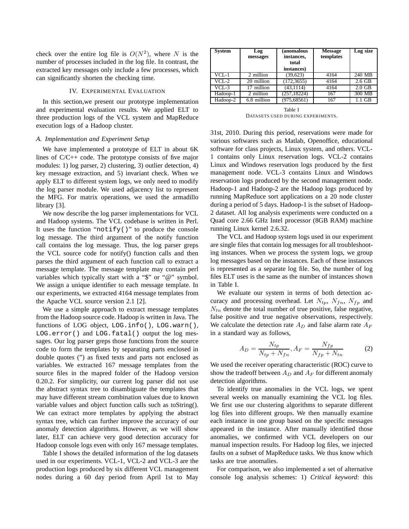check over the entire log file is  $O(N^2)$ , where N is the number of processes included in the log file. In contrast, the extracted key messages only include a few processes, which can significantly shorten the checking time.

# IV. EXPERIMENTAL EVALUATION

In this section,we present our prototype implementation and experimental evaluation results. We applied ELT to three production logs of the VCL system and MapReduce execution logs of a Hadoop cluster.

# *A. Implementation and Experiment Setup*

We have implemented a prototype of ELT in about 6K lines of C/C++ code. The prototype consists of five major modules: 1) log parser, 2) clustering, 3) outlier detection, 4) key message extraction, and 5) invariant check. When we apply ELT to different system logs, we only need to modify the log parser module. We used adjacency list to represent the MFG. For matrix operations, we used the armadillo library [3].

We now describe the log parser implementations for VCL and Hadoop systems. The VCL codebase is written in Perl. It uses the function " $notify()$ " to produce the console log message. The third argument of the notify function call contains the log message. Thus, the log parser greps the VCL source code for notify() function calls and then parses the third argument of each function call to extract a message template. The message template may contain perl variables which typically start with a "\$" or "@" symbol. We assign a unique identifier to each message template. In our experiments, we extracted 4164 message templates from the Apache VCL source version 2.1 [2].

We use a simple approach to extract message templates from the Hadoop source code. Hadoop is written in Java. The functions of LOG object, LOG.info(), LOG.warn(), LOG.error() and LOG.fatal() output the log messages. Our log parser greps those functions from the source code to form the templates by separating parts enclosed in double quotes (") as fixed texts and parts not enclosed as variables. We extracted 167 message templates from the source files in the mapred folder of the Hadoop version 0.20.2. For simplicity, our current log parser did not use the abstract syntax tree to disambiguate the templates that may have different stream combination values due to known variable values and object function calls such as toString(). We can extract more templates by applying the abstract syntax tree, which can further improve the accuracy of our anomaly detection algorithms. However, as we will show later, ELT can achieve very good detection accuracy for Hadoop console logs even with only 167 message templates.

Table I shows the detailed information of the log datasets used in our experiments. VCL-1, VCL-2 and VCL-3 are the production logs produced by six different VCL management nodes during a 60 day period from April 1st to May

| <b>System</b>                | Log<br>messages | anomalous)<br>instances,<br>total<br>instances) | <b>Message</b><br>templates | Log size |
|------------------------------|-----------------|-------------------------------------------------|-----------------------------|----------|
| $VCL-1$                      | 2 million       | (39,623)                                        | 4164                        | 240 MB   |
| $VCL-2$                      | 20 million      | (172, 3655)                                     | 4164                        | $2.6$ GB |
| VCL-3                        | 17 million      | (43, 1114)                                      | 4164                        | $2.0$ GB |
| $\overline{\text{Hadoop-1}}$ | 2 million       | (257, 18224)                                    | 167                         | 300 MB   |
| Hadoop-2                     | 6.8 million     | (975, 68561)                                    | 167                         | GB       |

Table I DATASETS USED DURING EXPERIMENTS.

31st, 2010. During this period, reservations were made for various softwares such as Matlab, Openoffice, educational software for class projects, Linux system, and others. VCL-1 contains only Linux reservation logs. VCL-2 contains Linux and Windows reservation logs produced by the first management node. VCL-3 contains Linux and Windows reservation logs produced by the second management node. Hadoop-1 and Hadoop-2 are the Hadoop logs produced by running MapReduce sort applications on a 20 node cluster during a period of 5 days. Hadoop-1 is the subset of Hadoop-2 dataset. All log analysis experiments were conducted on a Quad core 2.66 GHz Intel processor (8GB RAM) machine running Linux kernel 2.6.32.

The VCL and Hadoop system logs used in our experiment are single files that contain log messages for all troubleshooting instances. When we process the system logs, we group log messages based on the instances. Each of these instances is represented as a separate log file. So, the number of log files ELT uses is the same as the number of instances shown in Table I.

We evaluate our system in terms of both detection accuracy and processing overhead. Let  $N_{tp}$ ,  $N_{fn}$ ,  $N_{fp}$  and  $N_{tn}$  denote the total number of true positive, false negative, false positive and true negative observations, respectively. We calculate the detection rate  $A_D$  and false alarm rate  $A_F$ in a standard way as follows,

$$
A_D = \frac{N_{tp}}{N_{tp} + N_{fn}}, A_F = \frac{N_{fp}}{N_{fp} + N_{tn}} \tag{2}
$$

We used the receiver operating characteristic (ROC) curve to show the tradeoff between  $A_D$  and  $A_F$  for different anomaly detection algorithms.

To identify true anomalies in the VCL logs, we spent several weeks on manually examining the VCL log files. We first use our clustering algorithms to separate different log files into different groups. We then manually examine each instance in one group based on the specific messages appeared in the instance. After manually identified those anomalies, we confirmed with VCL developers on our manual inspection results. For Hadoop log files, we injected faults on a subset of MapReduce tasks. We thus know which tasks are true anomalies.

For comparison, we also implemented a set of alternative console log analysis schemes: 1) *Critical keyword*: this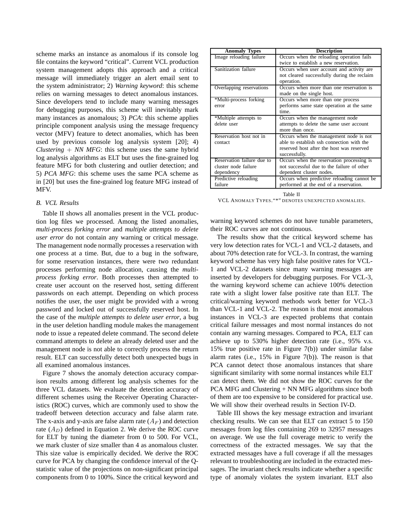scheme marks an instance as anomalous if its console log file contains the keyword "critical". Current VCL production system management adopts this approach and a critical message will immediately trigger an alert email sent to the system administrator; 2) *Warning keyword*: this scheme relies on warning messages to detect anomalous instances. Since developers tend to include many warning messages for debugging purposes, this scheme will inevitably mark many instances as anomalous; 3) *PCA*: this scheme applies principle component analysis using the message frequency vector (MFV) feature to detect anomalies, which has been used by previous console log analysis system [20]; 4) *Clustering*  $+ NN MFG$ : this scheme uses the same hybrid log analysis algorithms as ELT but uses the fine-grained log feature MFG for both clustering and outlier detection; and 5) *PCA MFG*: this scheme uses the same PCA scheme as in [20] but uses the fine-grained log feature MFG instead of MFV.

# *B. VCL Results*

Table II shows all anomalies present in the VCL production log files we processed. Among the listed anomalies, *multi-process forking error* and *multiple attempts to delete user error* do not contain any warning or critical message. The management node normally processes a reservation with one process at a time. But, due to a bug in the software, for some reservation instances, there were two redundant processes performing node allocation, causing the *multiprocess forking error*. Both processes then attempted to create user account on the reserved host, setting different passwords on each attempt. Depending on which process notifies the user, the user might be provided with a wrong password and locked out of successfully reserved host. In the case of the *multiple attempts to delete user error*, a bug in the user deletion handling module makes the management node to issue a repeated delete command. The second delete command attempts to delete an already deleted user and the management node is not able to correctly process the return result. ELT can successfully detect both unexpected bugs in all examined anomalous instances.

Figure 7 shows the anomaly detection accuracy comparison results among different log analysis schemes for the three VCL datasets. We evaluate the detection accuracy of different schemes using the Receiver Operating Characteristics (ROC) curves, which are commonly used to show the tradeoff between detection accuracy and false alarm rate. The x-axis and y-axis are false alarm rate  $(A_F)$  and detection rate  $(A<sub>D</sub>)$  defined in Equation 2. We derive the ROC curve for ELT by tuning the diameter from 0 to 500. For VCL, we mark cluster of size smaller than 4 as anomalous cluster. This size value is empirically decided. We derive the ROC curve for PCA by changing the confidence interval of the Qstatistic value of the projections on non-significant principal components from 0 to 100%. Since the critical keyword and

| <b>Anomaly Types</b>       | <b>Description</b>                          |  |  |
|----------------------------|---------------------------------------------|--|--|
| Image reloading failure    | Occurs when the reloading operation fails   |  |  |
|                            | twice to establish a new reservation.       |  |  |
| Sanitization failure       | Occurs when user account and activity are   |  |  |
|                            | not cleared successfully during the reclaim |  |  |
|                            | operation.                                  |  |  |
| Overlapping reservations   | Occurs when more than one reservation is    |  |  |
|                            | made on the single host.                    |  |  |
| *Multi-process forking     | Occurs when more than one process           |  |  |
| error                      | performs same state operation at the same   |  |  |
|                            | time.                                       |  |  |
| *Multiple attempts to      | Occurs when the management node             |  |  |
| delete user                | attempts to delete the same user account    |  |  |
|                            | more than once.                             |  |  |
| Reservation host not in    | Occurs when the management node is not      |  |  |
| contact                    | able to establish ssh connection with the   |  |  |
|                            | reserved host after the host was reserved   |  |  |
|                            | successfully.                               |  |  |
| Reservation failure due to | Occurs when the reservation processing is   |  |  |
| cluster node failure       | not successful due to the failure of other  |  |  |
| dependency                 | dependent cluster nodes.                    |  |  |
| Predictive reloading       | Occurs when predictive reloading cannot be. |  |  |
| failure                    | performed at the end of a reservation.      |  |  |

Table II

VCL ANOMALY TYPES."\*" DENOTES UNEXPECTED ANOMALIES.

warning keyword schemes do not have tunable parameters, their ROC curves are not continuous.

The results show that the critical keyword scheme has very low detection rates for VCL-1 and VCL-2 datasets, and about 70% detection rate for VCL-3. In contrast, the warning keyword scheme has very high false positive rates for VCL-1 and VCL-2 datasets since many warning messages are inserted by developers for debugging purposes. For VCL-3, the warning keyword scheme can achieve 100% detection rate with a slight lower false positive rate than ELT. The critical/warning keyword methods work better for VCL-3 than VCL-1 and VCL-2. The reason is that most anomalous instances in VCL-3 are expected problems that contain critical failure messages and most normal instances do not contain any warning messages. Compared to PCA, ELT can achieve up to 530% higher detection rate (i.e., 95% v.s. 15% true positive rate in Figure 7(b)) under similar false alarm rates (i.e., 15% in Figure 7(b)). The reason is that PCA cannot detect those anomalous instances that share significant similarity with some normal instances while ELT can detect them. We did not show the ROC curves for the PCA MFG and Clustering + NN MFG algorithms since both of them are too expensive to be considered for practical use. We will show their overhead results in Section IV-D.

Table III shows the key message extraction and invariant checking results. We can see that ELT can extract 5 to 150 messages from log files containing 269 to 32957 messages on average. We use the full coverage metric to verify the correctness of the extracted messages. We say that the extracted messages have a full coverage if all the messages relevant to troubleshooting are included in the extracted messages. The invariant check results indicate whether a specific type of anomaly violates the system invariant. ELT also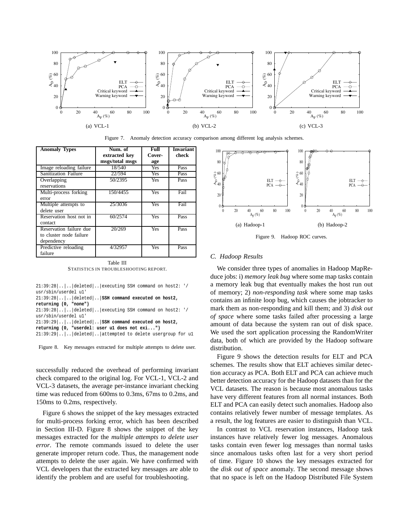

Figure 7. Anomaly detection accuracy comparison among different log analysis schemes.

| <b>Anomaly Types</b>    | Num. of         | Full   | <b>Invariant</b> |
|-------------------------|-----------------|--------|------------------|
|                         | extracted kev   | Cover- | check            |
|                         | msgs/total msgs | age    |                  |
| Image reloading failure | 18/540          | Yes    | Pass             |
| Sanitization Failure    | 22/594          | Yes    | Pass             |
| Overlapping             | 50/2395         | Yes    | Pass             |
| reservations            |                 |        |                  |
| Multi-process forking   | 150/4455        | Yes    | Fail             |
| error                   |                 |        |                  |
| Multiple attempts to    | 25/3036         | Yes    | Fail             |
| delete user             |                 |        |                  |
| Reservation host not in | 60/2574         | Yes    | Pass             |
| contact                 |                 |        |                  |
| Reservation failure due | 20/269          | Yes    | Pass             |
| to cluster node failure |                 |        |                  |
| dependency              |                 |        |                  |
| Predictive reloading    | 4/32957         | Yes    | Pass             |
| failure                 |                 |        |                  |

Table III STATISTICS IN TROUBLESHOOTING REPORT.

```
21:39:28|..|..|deleted|..|executing SSH command on host2: '/
usr/sbin/userdel u1'
21:39:28|..|..|deleted|..|SSH command executed on host2,
```

```
returning (0, "none")
```

```
21:39:28|..|..|deleted|..|executing SSH command on host2: '/
usr/sbin/userdel u1'
```
21:39:29|..|..|deleted|..|**SSH command executed on host2,** 

**returning (0, "userdel: user u1 does not exi...")** 21:39:29|..|..|deleted|..|attempted to delete usergroup for u1

Figure 8. Key messages extracted for multiple attempts to delete user.

successfully reduced the overhead of performing invariant check compared to the original log. For VCL-1, VCL-2 and VCL-3 datasets, the average per-instance invariant checking time was reduced from 600ms to 0.3ms, 67ms to 0.2ms, and 150ms to 0.2ms, respectively.

Figure 6 shows the snippet of the key messages extracted for multi-process forking error, which has been described in Section III-D. Figure 8 shows the snippet of the key messages extracted for the *multiple attempts to delete user error*. The remote commands issued to delete the user generate improper return code. Thus, the management node attempts to delete the user again. We have confirmed with VCL developers that the extracted key messages are able to identify the problem and are useful for troubleshooting.



Figure 9. Hadoop ROC curves.

#### *C. Hadoop Results*

We consider three types of anomalies in Hadoop MapReduce jobs: i) *memory leak bug* where some map tasks contain a memory leak bug that eventually makes the host run out of memory; 2) *non-responding task* where some map tasks contains an infinite loop bug, which causes the jobtracker to mark them as non-responding and kill them; and 3) *disk out of space* where some tasks failed after processing a large amount of data because the system ran out of disk space. We used the sort application processing the RandomWriter data, both of which are provided by the Hadoop software distribution.

Figure 9 shows the detection results for ELT and PCA schemes. The results show that ELT achieves similar detection accuracy as PCA. Both ELT and PCA can achieve much better detection accuracy for the Hadoop datasets than for the VCL datasets. The reason is because most anomalous tasks have very different features from all normal instances. Both ELT and PCA can easily detect such anomalies. Hadoop also contains relatively fewer number of message templates. As a result, the log features are easier to distinguish than VCL.

In contrast to VCL reservation instances, Hadoop task instances have relatively fewer log messages. Anomalous tasks contain even fewer log messages than normal tasks since anomalous tasks often last for a very short period of time. Figure 10 shows the key messages extracted for the *disk out of space* anomaly. The second message shows that no space is left on the Hadoop Distributed File System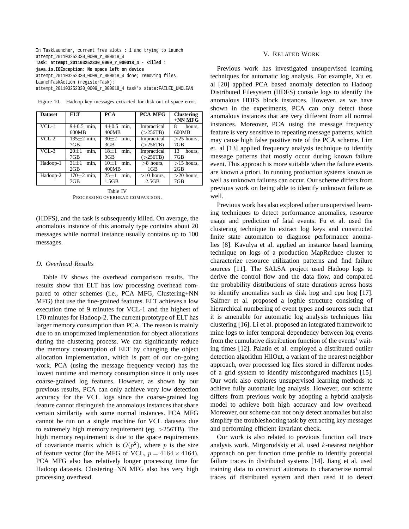In TaskLauncher, current free slots : 1 and trying to launch attempt\_201103252330\_0009\_r\_000018\_4 **Task: attempt\_201103252330\_0009\_r\_000018\_4 - Killed : java.io.IOException: No space left on device** attempt\_201103252330\_0009\_r\_000018\_4 done; removing files. LaunchTaskAction (registerTask): attempt\_201103252330\_0009\_r\_000018\_4 task's state:FAILED\_UNCLEAN

| <b>Dataset</b>            | ELT                                   | <b>PCA</b>                          | <b>PCA MFG</b>                 | <b>Clustering</b><br>$+NNMFG$   |
|---------------------------|---------------------------------------|-------------------------------------|--------------------------------|---------------------------------|
| $VCL-1$                   | $9\pm0.5$ min.<br>600MB               | $4\pm0.5$ min.<br>400MB             | Impractical<br>$($ >256TB)     | hours,<br>8<br>600MB            |
| $\overline{\text{VCL-2}}$ | $135\pm2$ min,<br>7 <sub>GB</sub>     | min,<br>$30+2$<br>3 <sub>GB</sub>   | Impractical<br>$($ >256TB)     | $>25$ hours.<br>7 <sub>GB</sub> |
| $VCI - 3$                 | min,<br>$20 \pm 1$<br>7 <sub>GB</sub> | min,<br>$18\pm1$<br>3 <sub>GB</sub> | Impractical<br>$($ >256TB)     | hours,<br>13<br>7 <sub>GB</sub> |
| Hadoop-1                  | min,<br>$31 \pm 1$<br>2GB             | min.<br>$10\pm1$<br>400MB           | $>8$ hours.<br>1 <sub>GB</sub> | $>15$ hours.<br>2GB             |
| Hadoop-2                  | $170 \pm 2$ min.<br>7GB               | min.<br>$25 \pm 1$<br>1.5GB         | $>10$ hours.<br>2.5GB          | $>20$ hours,<br>7GB             |

Figure 10. Hadoop key messages extracted for disk out of space error.

Table IV PROCESSING OVERHEAD COMPARISON.

(HDFS), and the task is subsequently killed. On average, the anomalous instance of this anomaly type contains about 20 messages while normal instance usually contains up to 100 messages.

## *D. Overhead Results*

Table IV shows the overhead comparison results. The results show that ELT has low processing overhead compared to other schemes (i.e., PCA MFG, Clustering+NN MFG) that use the fine-grained features. ELT achieves a low execution time of 9 minutes for VCL-1 and the highest of 170 minutes for Hadoop-2. The current prototype of ELT has larger memory consumption than PCA. The reason is mainly due to an unoptimized implementation for object allocations during the clustering process. We can significantly reduce the memory consumption of ELT by changing the object allocation implementation, which is part of our on-going work. PCA (using the message frequency vector) has the lowest runtime and memory consumption since it only uses coarse-grained log features. However, as shown by our previous results, PCA can only achieve very low detection accuracy for the VCL logs since the coarse-grained log feature cannot distinguish the anomalous instances that share certain similarity with some normal instances. PCA MFG cannot be run on a single machine for VCL datasets due to extremely high memory requirement (eg. >256TB). The high memory requirement is due to the space requirements of covariance matrix which is  $O(p^2)$ , where p is the size of feature vector (for the MFG of VCL,  $p = 4164 \times 4164$ ). PCA MFG also has relatively longer processing time for Hadoop datasets. Clustering+NN MFG also has very high processing overhead.

# V. RELATED WORK

Previous work has investigated unsupervised learning techniques for automatic log analysis. For example, Xu et. al [20] applied PCA based anomaly detection to Hadoop Distributed Filesystem (HDFS) console logs to identify the anomalous HDFS block instances. However, as we have shown in the experiments, PCA can only detect those anomalous instances that are very different from all normal instances. Moreover, PCA using the message frequency feature is very sensitive to repeating message patterns, which may cause high false positive rate of the PCA scheme. Lim et. al [13] applied frequency analysis technique to identify message patterns that mostly occur during known failure event. This approach is more suitable when the failure events are known a priori. In running production systems known as well as unknown failures can occur. Our scheme differs from previous work on being able to identify unknown failure as well.

Previous work has also explored other unsupervised learning techniques to detect performance anomalies, resource usage and prediction of fatal events. Fu et al. used the clustering technique to extract log keys and constructed finite state automaton to diagnose performance anomalies [8]. Kavulya et al. applied an instance based learning technique on logs of a production MapReduce cluster to characterize resource utilization patterns and find failure sources [11]. The SALSA project used Hadoop logs to derive the control flow and the data flow, and compared the probability distributions of state durations across hosts to identify anomalies such as disk hog and cpu hog [17]. Salfner et al. proposed a logfile structure consisting of hierarchical numbering of event types and sources such that it is amenable for automatic log analysis techniques like clustering [16]. Li et al. proposed an integrated framework to mine logs to infer temporal dependency between log events from the cumulative distribution function of the events' waiting times [12]. Palatin et al. employed a distributed outlier detection algorithm HilOut, a variant of the nearest neighbor approach, over processed log files stored in different nodes of a grid system to identify misconfigured machines [15]. Our work also explores unsupervised learning methods to achieve fully automatic log analysis. However, our scheme differs from previous work by adopting a hybrid analysis model to achieve both high accuracy and low overhead. Moreover, our scheme can not only detect anomalies but also simplify the troubleshooting task by extracting key messages and performing efficient invariant check.

Our work is also related to previous function call trace analysis work. Mirgorodskiy et al. used k-nearest neighbor approach on per function time profile to identify potential failure traces in distributed systems [14]. Jiang et al. used training data to construct automata to characterize normal traces of distributed system and then used it to detect